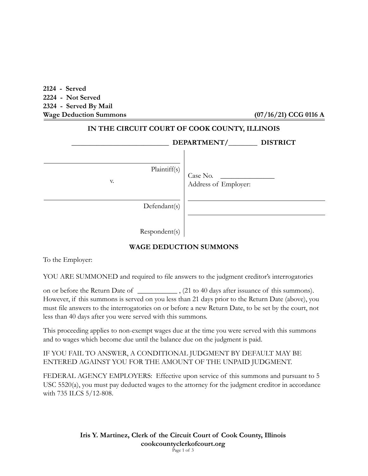**2124 - Served 2224 - Not Served 2324 - Served By Mail**

**Wage Deduction Summons (07/16/21) CCG 0116 A**

# **IN THE CIRCUIT COURT OF COOK COUNTY, ILLINOIS**

|    | DEPARTMENT/ DISTRICT |                                    |  |
|----|----------------------|------------------------------------|--|
| V. | Plaintiff(s)         | Case No.<br>  Address of Employer: |  |
|    | Defendant(s)         |                                    |  |

Respondent(s)

# **WAGE DEDUCTION SUMMONS**

To the Employer:

YOU ARE SUMMONED and required to file answers to the judgment creditor's interrogatories

on or before the Return Date of \_\_\_\_\_\_\_\_\_\_\_\_\_\_\_\_, (21 to 40 days after issuance of this summons). However, if this summons is served on you less than 21 days prior to the Return Date (above), you must file answers to the interrogatories on or before a new Return Date, to be set by the court, not less than 40 days after you were served with this summons.

This proceeding applies to non-exempt wages due at the time you were served with this summons and to wages which become due until the balance due on the judgment is paid.

IF YOU FAIL TO ANSWER, A CONDITIONAL JUDGMENT BY DEFAULT MAY BE ENTERED AGAINST YOU FOR THE AMOUNT OF THE UNPAID JUDGMENT.

FEDERAL AGENCY EMPLOYERS: Effective upon service of this summons and pursuant to 5 USC 5520(a), you must pay deducted wages to the attorney for the judgment creditor in accordance with 735 ILCS 5/12-808.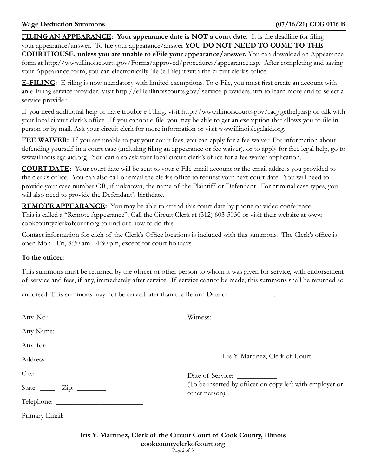**FILING AN APPEARANCE: Your appearance date is NOT a court date.** It is the deadline for filing your appearance/answer. To file your appearance/answer **YOU DO NOT NEED TO COME TO THE** 

**COURTHOUSE, unless you are unable to eFile your appearance/answer.** You can download an Appearance form at http://www.illinoiscourts.gov/Forms/approved/procedures/appearance.asp. After completing and saving your Appearance form, you can electronically file (e-File) it with the circuit clerk's office.

**E-FILING:** E-filing is now mandatory with limited exemptions. To e-File, you must first create an account with an e-Filing service provider. Visit http://efile.illinoiscourts.gov/ service-providers.htm to learn more and to select a service provider.

If you need additional help or have trouble e-Filing, visit http://www.illinoiscourts.gov/faq/gethelp.asp or talk with your local circuit clerk's office. If you cannot e-file, you may be able to get an exemption that allows you to file inperson or by mail. Ask your circuit clerk for more information or visit www.illinoislegalaid.org.

**FEE WAIVER:** If you are unable to pay your court fees, you can apply for a fee waiver. For information about defending yourself in a court case (including filing an appearance or fee waiver), or to apply for free legal help, go to www.illinoislegalaid.org. You can also ask your local circuit clerk's office for a fee waiver application.

**COURT DATE:** Your court date will be sent to your e-File email account or the email address you provided to the clerk's office. You can also call or email the clerk's office to request your next court date. You will need to provide your case number OR, if unknown, the name of the Plaintiff or Defendant. For criminal case types, you will also need to provide the Defendant's birthdate.

**REMOTE APPEARANCE:** You may be able to attend this court date by phone or video conference. This is called a "Remote Appearance". Call the Circuit Clerk at (312) 603-5030 or visit their website at www. cookcountyclerkofcourt.org to find out how to do this.

Contact information for each of the Clerk's Office locations is included with this summons. The Clerk's office is open Mon - Fri, 8:30 am - 4:30 pm, except for court holidays.

# **To the officer:**

This summons must be returned by the officer or other person to whom it was given for service, with endorsement of service and fees, if any, immediately after service. If service cannot be made, this summons shall be returned so

endorsed. This summons may not be served later than the Return Date of  $\Box$ 

|                                              | Iris Y. Martinez, Clerk of Court                                          |
|----------------------------------------------|---------------------------------------------------------------------------|
|                                              | Date of Service: _____________                                            |
| State: $\frac{\text{Zip: } }{ \text{Up: } }$ | (To be inserted by officer on copy left with employer or<br>other person) |
|                                              |                                                                           |
|                                              |                                                                           |

**Iris Y. Martinez, Clerk of the Circuit Court of Cook County, Illinois cookcountyclerkofcourt.org** Page 2 of 3